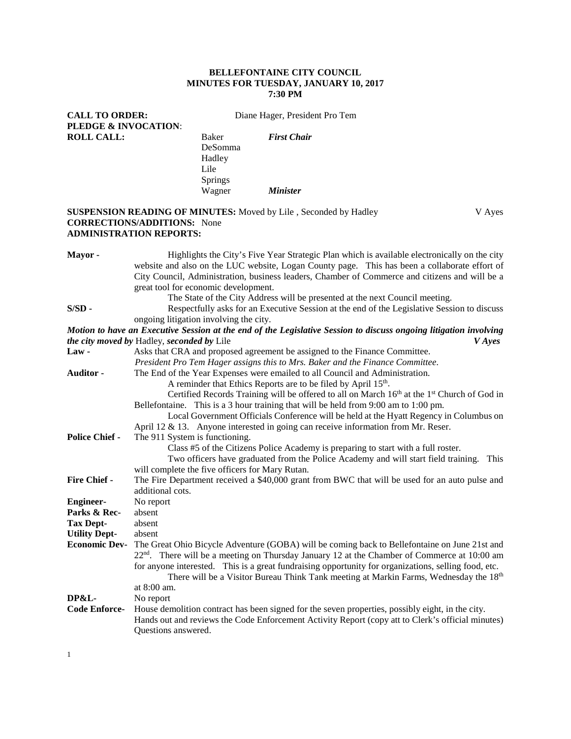#### **BELLEFONTAINE CITY COUNCIL MINUTES FOR TUESDAY, JANUARY 10, 2017 7:30 PM**

CALL TO ORDER: Diane Hager, President Pro Tem **PLEDGE & INVOCATION**: **ROLL CALL:** Baker *First Chair*

DeSomma Hadley Springs<br>Wagner *Minister* 

#### **SUSPENSION READING OF MINUTES:** Moved by Lile, Seconded by Hadley V Ayes **CORRECTIONS/ADDITIONS:** None **ADMINISTRATION REPORTS:**

Lile

| Mayor -                                                                                                           | Highlights the City's Five Year Strategic Plan which is available electronically on the city                        |  |
|-------------------------------------------------------------------------------------------------------------------|---------------------------------------------------------------------------------------------------------------------|--|
|                                                                                                                   | website and also on the LUC website, Logan County page. This has been a collaborate effort of                       |  |
|                                                                                                                   | City Council, Administration, business leaders, Chamber of Commerce and citizens and will be a                      |  |
|                                                                                                                   | great tool for economic development.                                                                                |  |
|                                                                                                                   | The State of the City Address will be presented at the next Council meeting.                                        |  |
| $S/SD$ -                                                                                                          | Respectfully asks for an Executive Session at the end of the Legislative Session to discuss                         |  |
|                                                                                                                   | ongoing litigation involving the city.                                                                              |  |
| Motion to have an Executive Session at the end of the Legislative Session to discuss ongoing litigation involving |                                                                                                                     |  |
| the city moved by Hadley, seconded by Lile<br><i>V</i> Ayes                                                       |                                                                                                                     |  |
| $Law -$                                                                                                           | Asks that CRA and proposed agreement be assigned to the Finance Committee.                                          |  |
|                                                                                                                   | President Pro Tem Hager assigns this to Mrs. Baker and the Finance Committee.                                       |  |
| Auditor -                                                                                                         | The End of the Year Expenses were emailed to all Council and Administration.                                        |  |
|                                                                                                                   | A reminder that Ethics Reports are to be filed by April 15 <sup>th</sup> .                                          |  |
|                                                                                                                   | Certified Records Training will be offered to all on March 16 <sup>th</sup> at the 1 <sup>st</sup> Church of God in |  |
|                                                                                                                   | Bellefontaine. This is a 3 hour training that will be held from 9:00 am to 1:00 pm.                                 |  |
|                                                                                                                   | Local Government Officials Conference will be held at the Hyatt Regency in Columbus on                              |  |
|                                                                                                                   | April 12 & 13. Anyone interested in going can receive information from Mr. Reser.                                   |  |
| <b>Police Chief -</b>                                                                                             | The 911 System is functioning.                                                                                      |  |
|                                                                                                                   | Class #5 of the Citizens Police Academy is preparing to start with a full roster.                                   |  |
|                                                                                                                   | Two officers have graduated from the Police Academy and will start field training.<br>This                          |  |
|                                                                                                                   | will complete the five officers for Mary Rutan.                                                                     |  |
| Fire Chief -                                                                                                      | The Fire Department received a \$40,000 grant from BWC that will be used for an auto pulse and                      |  |
|                                                                                                                   | additional cots.                                                                                                    |  |
| <b>Engineer-</b>                                                                                                  | No report                                                                                                           |  |
| Parks & Rec-                                                                                                      | absent                                                                                                              |  |
| <b>Tax Dept-</b>                                                                                                  | absent                                                                                                              |  |
| <b>Utility Dept-</b>                                                                                              | absent                                                                                                              |  |
| <b>Economic Dev-</b>                                                                                              | The Great Ohio Bicycle Adventure (GOBA) will be coming back to Bellefontaine on June 21st and                       |  |
|                                                                                                                   | 22 <sup>nd</sup> . There will be a meeting on Thursday January 12 at the Chamber of Commerce at 10:00 am            |  |
|                                                                                                                   | for anyone interested. This is a great fundraising opportunity for organizations, selling food, etc.                |  |
|                                                                                                                   | There will be a Visitor Bureau Think Tank meeting at Markin Farms, Wednesday the 18 <sup>th</sup>                   |  |
|                                                                                                                   | at 8:00 am.                                                                                                         |  |
| DP&L-                                                                                                             | No report                                                                                                           |  |
| <b>Code Enforce-</b>                                                                                              | House demolition contract has been signed for the seven properties, possibly eight, in the city.                    |  |
|                                                                                                                   | Hands out and reviews the Code Enforcement Activity Report (copy att to Clerk's official minutes)                   |  |
|                                                                                                                   | Questions answered.                                                                                                 |  |
|                                                                                                                   |                                                                                                                     |  |

1